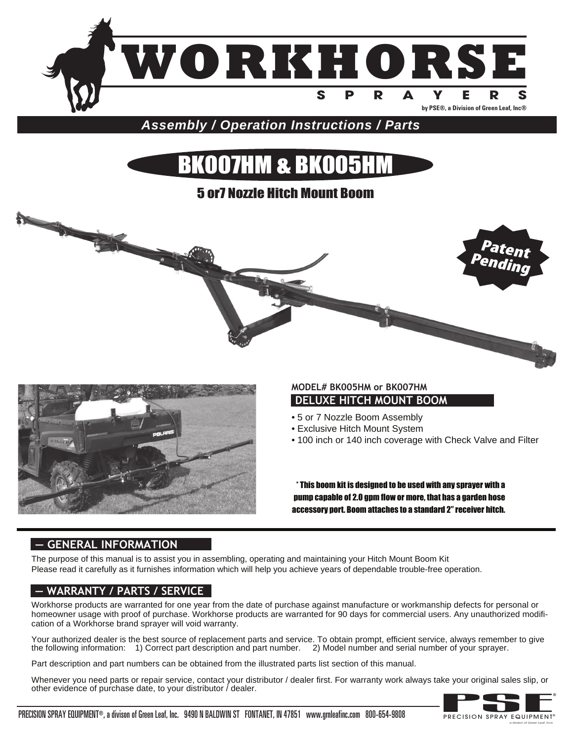

**Assembly / Operation Instructions / Parts**

# BK007HM & BK005HM

## 5 or7 Nozzle Hitch Mount Boom





## **DELUXE HITCH MOUNT BOOM MODEL# BK005HM or BK007HM**

- 5 or 7 Nozzle Boom Assembly
- Exclusive Hitch Mount System
- 100 inch or 140 inch coverage with Check Valve and Filter

\* This boom kit is designed to be used with any sprayer with a pump capable of 2.0 gpm flow or more, that has a garden hose accessory port. Boom attaches to a standard 2" receiver hitch.

## **— GENERAL INFORMATION**

The purpose of this manual is to assist you in assembling, operating and maintaining your Hitch Mount Boom Kit Please read it carefully as it furnishes information which will help you achieve years of dependable trouble-free operation.

## **— WARRANTY / PARTS / SERVICE**

Workhorse products are warranted for one year from the date of purchase against manufacture or workmanship defects for personal or homeowner usage with proof of purchase. Workhorse products are warranted for 90 days for commercial users. Any unauthorized modification of a Workhorse brand sprayer will void warranty.

Your authorized dealer is the best source of replacement parts and service. To obtain prompt, efficient service, always remember to give the following information: 1) Correct part description and part number. 2) Model number and serial number of your sprayer.

Part description and part numbers can be obtained from the illustrated parts list section of this manual.

Whenever you need parts or repair service, contact your distributor / dealer first. For warranty work always take your original sales slip, or other evidence of purchase date, to your distributor / dealer.



a division of Green Leaf, Inc®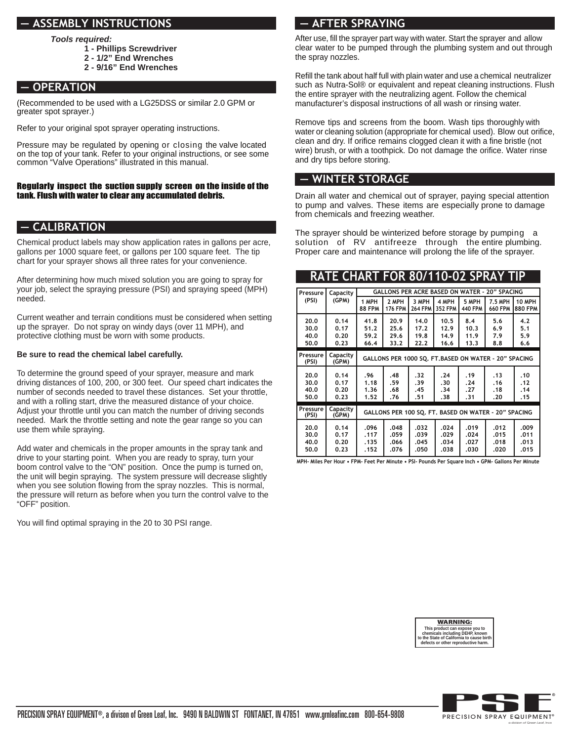## **— ASSEMBLY INSTRUCTIONS**

**Tools required:**

- **1 Phillips Screwdriver**
- **2 1/2" End Wrenches**
- **2 9/16" End Wrenches**

## **— OPERATION**

(Recommended to be used with a LG25DSS or similar 2.0 GPM or greater spot sprayer.)

Refer to your original spot sprayer operating instructions.

Pressure may be regulated by opening or closing the valve located on the top of your tank. Refer to your original instructions, or see some common "Valve Operations" illustrated in this manual.

#### Regularly inspect the suction supply screen on the inside of the tank. Flush with water to clear any accumulated debris.

## **— CALIBRATION**

Chemical product labels may show application rates in gallons per acre, gallons per 1000 square feet, or gallons per 100 square feet. The tip chart for your sprayer shows all three rates for your convenience.

After determining how much mixed solution you are going to spray for your job, select the spraying pressure (PSI) and spraying speed (MPH) needed.

Current weather and terrain conditions must be considered when setting up the sprayer. Do not spray on windy days (over 11 MPH), and protective clothing must be worn with some products.

#### **Be sure to read the chemical label carefully.**

To determine the ground speed of your sprayer, measure and mark driving distances of 100, 200, or 300 feet. Our speed chart indicates the number of seconds needed to travel these distances. Set your throttle, and with a rolling start, drive the measured distance of your choice. Adjust your throttle until you can match the number of driving seconds needed. Mark the throttle setting and note the gear range so you can use them while spraying.

Add water and chemicals in the proper amounts in the spray tank and drive to your starting point. When you are ready to spray, turn your boom control valve to the "ON" position. Once the pump is turned on, the unit will begin spraying. The system pressure will decrease slightly when you see solution flowing from the spray nozzles. This is normal, the pressure will return as before when you turn the control valve to the "OFF" position.

You will find optimal spraying in the 20 to 30 PSI range.

## **— AFTER SPRAYING**

After use, fill the sprayer part way with water. Start the sprayer and allow clear water to be pumped through the plumbing system and out through the spray nozzles.

Refill the tank about half full with plain water and use a chemical neutralizer such as Nutra-Sol® or equivalent and repeat cleaning instructions. Flush the entire sprayer with the neutralizing agent. Follow the chemical manufacturer's disposal instructions of all wash or rinsing water.

Remove tips and screens from the boom. Wash tips thoroughly with water or cleaning solution (appropriate for chemical used). Blow out orifice, clean and dry. If orifice remains clogged clean it with a fine bristle (not wire) brush, or with a toothpick. Do not damage the orifice. Water rinse and dry tips before storing.

### **— WINTER STORAGE**

Drain all water and chemical out of sprayer, paying special attention to pump and valves. These items are especially prone to damage from chemicals and freezing weather.

The sprayer should be winterized before storage by pumping a solution of RV antifreeze through the entire plumbing. Proper care and maintenance will prolong the life of the sprayer.

## **RATE CHART FOR 80/110-02 SPRAY TIP**

| Pressure                     | Capacity                     | <b>GALLONS PER ACRE BASED ON WATER - 20" SPACING</b> |                              |                              |                              |                              |                              |                              |  |  |
|------------------------------|------------------------------|------------------------------------------------------|------------------------------|------------------------------|------------------------------|------------------------------|------------------------------|------------------------------|--|--|
| (PSI)                        | (GPM)                        | 1 MPH<br><b>88 FPM</b>                               | 2 MPH<br><b>176 FPM</b>      | 3 MPH<br><b>264 FPM</b>      | 4 MPH<br><b>352 FPM</b>      | 5 MPH<br><b>440 FPM</b>      | 7.5 MPH<br><b>660 FPM</b>    | 10 MPH<br><b>880 FPM</b>     |  |  |
| 20.0<br>30.0<br>40.0<br>50.0 | 0.14<br>0.17<br>0.20<br>0.23 | 41.8<br>51.2<br>59.2<br>66.4                         | 20.9<br>25.6<br>29.6<br>33.2 | 14.0<br>17.2<br>19.8<br>22.2 | 10.5<br>12.9<br>14.9<br>16.6 | 8.4<br>10.3<br>11.9<br>13.3  | 5.6<br>6.9<br>7.9<br>8.8     | 4.2<br>5.1<br>5.9<br>6.6     |  |  |
| Pressure<br>(PSI)            | Capacity<br>(GPM)            | GALLONS PER 1000 SQ. FT.BASED ON WATER - 20" SPACING |                              |                              |                              |                              |                              |                              |  |  |
| 20.0<br>30.0<br>40.0<br>50.0 | 0.14<br>0.17<br>0.20<br>0.23 | .96<br>1.18<br>1.36<br>1.52                          | .48<br>.59<br>.68<br>.76     | .32<br>.39<br>.45<br>.51     | .24<br>.30<br>.34<br>.38     | . 19<br>.24<br>.27<br>.31    | .13<br>.16<br>.18<br>.20     | .10<br>.12<br>.14<br>. 15    |  |  |
| Pressure<br>(PSI)            | Capacity<br>(GPM)            | GALLONS PER 100 SO. FT. BASED ON WATER - 20" SPACING |                              |                              |                              |                              |                              |                              |  |  |
| 20.0<br>30.0<br>40.0<br>50.0 | 0.14<br>0.17<br>0.20<br>0.23 | .096<br>.117<br>.135<br>.152                         | .048<br>.059<br>.066<br>.076 | .032<br>.039<br>.045<br>.050 | .024<br>.029<br>.034<br>.038 | .019<br>.024<br>.027<br>.030 | .012<br>.015<br>.018<br>.020 | .009<br>.011<br>.013<br>.015 |  |  |

**MPH- Miles Per Hour • FPM- Feet Per Minute • PSI- Pounds Per Square Inch • GPM- Gallons Per Minute**



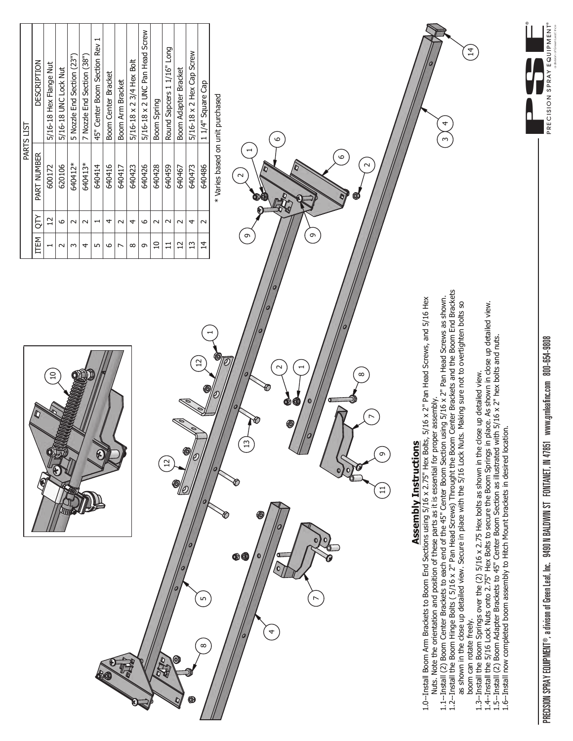

PRECISION SPRAY EQUIPMENT®, a divison of Green Leaf, Inc. 9490 N BALDWIN ST FONTANET, IN 47851 www.gmleafinc.com 800-654-9808 PRECISION SPRAY EQUIPMENT®, a divison of Green Leaf, Inc. 9490 N BALDWIN ST FONTANET, IN 47851 www.grnleafinc.com 800-654-9808

a division of Green Leaf, Inc®

®

PRECISION SPRAY EQUIPMENT